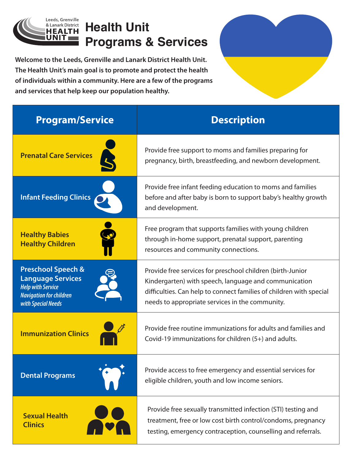

## **Health Unit Programs & Services**

**Welcome to the Leeds, Grenville and Lanark District Health Unit. The Health Unit's main goal is to promote and protect the health of individuals within a community. Here are a few of the programs and services that help keep our population healthy.**

| <b>Program/Service</b>                                                                                                                        | <b>Description</b>                                                                                                                                                                                                                            |
|-----------------------------------------------------------------------------------------------------------------------------------------------|-----------------------------------------------------------------------------------------------------------------------------------------------------------------------------------------------------------------------------------------------|
| <b>Prenatal Care Services</b>                                                                                                                 | Provide free support to moms and families preparing for<br>pregnancy, birth, breastfeeding, and newborn development.                                                                                                                          |
| <b>Infant Feeding Clinics</b>                                                                                                                 | Provide free infant feeding education to moms and families<br>before and after baby is born to support baby's healthy growth<br>and development.                                                                                              |
| <b>Healthy Babies</b><br><b>Healthy Children</b>                                                                                              | Free program that supports families with young children<br>through in-home support, prenatal support, parenting<br>resources and community connections.                                                                                       |
| <b>Preschool Speech &amp;</b><br><b>Language Services</b><br><b>Help with Service</b><br><b>Navigation for children</b><br>with Special Needs | Provide free services for preschool children (birth-Junior<br>Kindergarten) with speech, language and communication<br>difficulties. Can help to connect families of children with special<br>needs to appropriate services in the community. |
| <b>Immunization Clinics</b>                                                                                                                   | Provide free routine immunizations for adults and families and<br>Covid-19 immunizations for children (5+) and adults.                                                                                                                        |
| <b>Dental Programs</b>                                                                                                                        | Provide access to free emergency and essential services for<br>eligible children, youth and low income seniors.                                                                                                                               |
| <b>Sexual Health</b><br><b>Clinics</b>                                                                                                        | Provide free sexually transmitted infection (STI) testing and<br>treatment, free or low cost birth control/condoms, pregnancy<br>testing, emergency contraception, counselling and referrals.                                                 |